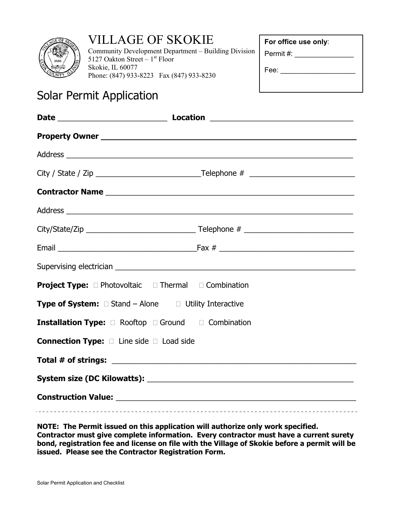

# VILLAGE OF SKOKIE

Community Development Department – Building Division 5127 Oakton Street  $-1<sup>st</sup>$  Floor Skokie, IL 60077 Phone: (847) 933-8223 Fax (847) 933-8230

**For office use only**:

Permit #:

| Fee: |  |  |  |
|------|--|--|--|
|      |  |  |  |
|      |  |  |  |

# Solar Permit Application

| <b>Project Type:</b> $\Box$ Photovoltaic $\Box$ Thermal $\Box$ Combination |  |  |  |  |
|----------------------------------------------------------------------------|--|--|--|--|
| <b>Type of System:</b> $\Box$ Stand - Alone $\Box$ Utility Interactive     |  |  |  |  |
| Installation Type: 2 Rooftop 2 Ground 2 Combination                        |  |  |  |  |
| <b>Connection Type:</b> $\Box$ Line side $\Box$ Load side                  |  |  |  |  |
|                                                                            |  |  |  |  |
|                                                                            |  |  |  |  |
| Construction Value: 2008 Construction Value:                               |  |  |  |  |
|                                                                            |  |  |  |  |

**NOTE: The Permit issued on this application will authorize only work specified. Contractor must give complete information. Every contractor must have a current surety bond, registration fee and license on file with the Village of Skokie before a permit will be issued. Please see the Contractor Registration Form.**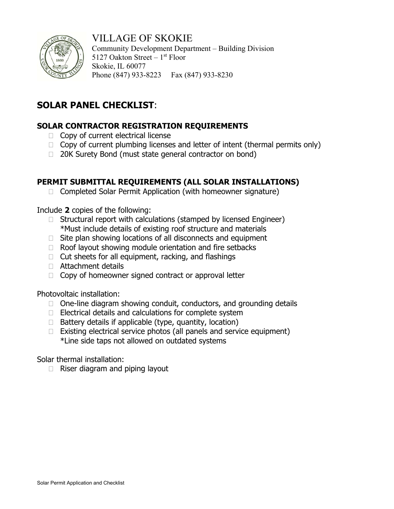

## VILLAGE OF SKOKIE

Community Development Department – Building Division 5127 Oakton Street –  $1<sup>st</sup>$  Floor Skokie, IL 60077 Phone (847) 933-8223 Fax (847) 933-8230

## **SOLAR PANEL CHECKLIST**:

### **SOLAR CONTRACTOR REGISTRATION REQUIREMENTS**

- $\Box$  Copy of current electrical license
- $\Box$  Copy of current plumbing licenses and letter of intent (thermal permits only)
- □ 20K Surety Bond (must state general contractor on bond)

### **PERMIT SUBMITTAL REQUIREMENTS (ALL SOLAR INSTALLATIONS)**

 $\Box$  Completed Solar Permit Application (with homeowner signature)

Include **2** copies of the following:

- $\Box$  Structural report with calculations (stamped by licensed Engineer) \*Must include details of existing roof structure and materials
- $\Box$  Site plan showing locations of all disconnects and equipment
- $\Box$  Roof layout showing module orientation and fire setbacks
- $\Box$  Cut sheets for all equipment, racking, and flashings
- Attachment details
- $\Box$  Copy of homeowner signed contract or approval letter

Photovoltaic installation:

- $\Box$  One-line diagram showing conduit, conductors, and grounding details
- $\Box$  Electrical details and calculations for complete system
- $\Box$  Battery details if applicable (type, quantity, location)
- $\Box$  Existing electrical service photos (all panels and service equipment) \*Line side taps not allowed on outdated systems

Solar thermal installation:

 $\Box$  Riser diagram and piping layout